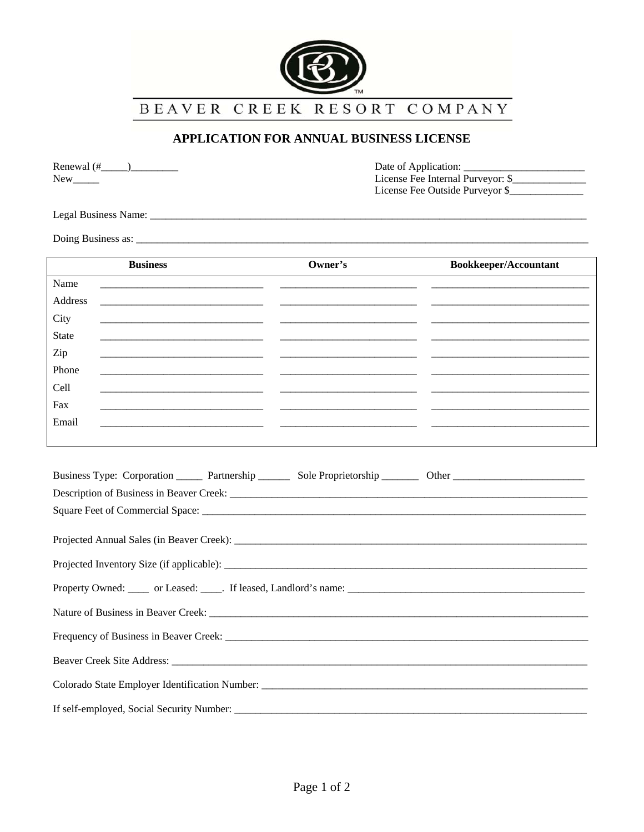

**RESORT** BEAVER CREEK COMPANY

## APPLICATION FOR ANNUAL BUSINESS LICENSE

 ${\it New_\_\_\_\_\_\_}$ 

Date of Application: License Fee Internal Purveyor: \$ License Fee Outside Purveyor \$

| <b>Business</b>                                                                                                                 | Owner's                                                                                                                 | <b>Bookkeeper/Accountant</b>                      |
|---------------------------------------------------------------------------------------------------------------------------------|-------------------------------------------------------------------------------------------------------------------------|---------------------------------------------------|
| Name                                                                                                                            |                                                                                                                         |                                                   |
| Address<br><u> 1989 - Johann Barbara, martin amerikan basar dan berasal dalam basa dalam basar dalam basar dalam basa dalam</u> |                                                                                                                         |                                                   |
| City<br><u> 1989 - Johann Harry Harry Harry Harry Harry Harry Harry Harry Harry Harry Harry Harry Harry Harry Harry Harry</u>   |                                                                                                                         |                                                   |
| <b>State</b>                                                                                                                    |                                                                                                                         |                                                   |
| Zip                                                                                                                             |                                                                                                                         |                                                   |
| Phone                                                                                                                           | <u> Andreas Andreas Andreas Andreas Andreas Andreas Andreas Andreas Andreas Andreas Andreas Andreas Andreas Andreas</u> | <u> 1989 - Johann Barn, mars et al. (b. 1989)</u> |
| Cell                                                                                                                            |                                                                                                                         |                                                   |
| Fax                                                                                                                             |                                                                                                                         |                                                   |
| Email                                                                                                                           |                                                                                                                         |                                                   |
|                                                                                                                                 |                                                                                                                         |                                                   |
|                                                                                                                                 |                                                                                                                         |                                                   |
| Business Type: Corporation _______ Partnership _________ Sole Proprietorship ________ Other __________________                  |                                                                                                                         |                                                   |
|                                                                                                                                 |                                                                                                                         |                                                   |
|                                                                                                                                 |                                                                                                                         |                                                   |
|                                                                                                                                 |                                                                                                                         |                                                   |
|                                                                                                                                 |                                                                                                                         |                                                   |
|                                                                                                                                 |                                                                                                                         |                                                   |
|                                                                                                                                 |                                                                                                                         |                                                   |
|                                                                                                                                 |                                                                                                                         |                                                   |
|                                                                                                                                 |                                                                                                                         |                                                   |
|                                                                                                                                 |                                                                                                                         |                                                   |
| If self-employed, Social Security Number:                                                                                       |                                                                                                                         |                                                   |